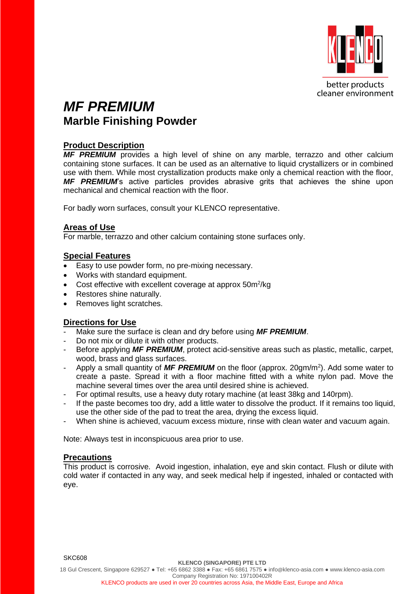

# *MF PREMIUM* **Marble Finishing Powder**

# **Product Description**

**MF PREMIUM** provides a high level of shine on any marble, terrazzo and other calcium containing stone surfaces. It can be used as an alternative to liquid crystallizers or in combined use with them. While most crystallization products make only a chemical reaction with the floor, *MF PREMIUM*'s active particles provides abrasive grits that achieves the shine upon mechanical and chemical reaction with the floor.

For badly worn surfaces, consult your KLENCO representative.

### **Areas of Use**

For marble, terrazzo and other calcium containing stone surfaces only.

# **Special Features**

- Easy to use powder form, no pre-mixing necessary.
- Works with standard equipment.
- Cost effective with excellent coverage at approx 50m<sup>2</sup>/kg
- Restores shine naturally.
- Removes light scratches.

### **Directions for Use**

- Make sure the surface is clean and dry before using **MF PREMIUM**.
- Do not mix or dilute it with other products.
- Before applying **MF PREMIUM**, protect acid-sensitive areas such as plastic, metallic, carpet, wood, brass and glass surfaces.
- Apply a small quantity of **MF PREMIUM** on the floor (approx. 20gm/m<sup>2</sup>). Add some water to create a paste. Spread it with a floor machine fitted with a white nylon pad. Move the machine several times over the area until desired shine is achieved.
- For optimal results, use a heavy duty rotary machine (at least 38kg and 140rpm).
- If the paste becomes too dry, add a little water to dissolve the product. If it remains too liquid, use the other side of the pad to treat the area, drying the excess liquid.
- When shine is achieved, vacuum excess mixture, rinse with clean water and vacuum again.

Note: Always test in inconspicuous area prior to use.

### **Precautions**

This product is corrosive. Avoid ingestion, inhalation, eye and skin contact. Flush or dilute with cold water if contacted in any way, and seek medical help if ingested, inhaled or contacted with eye.

SKC608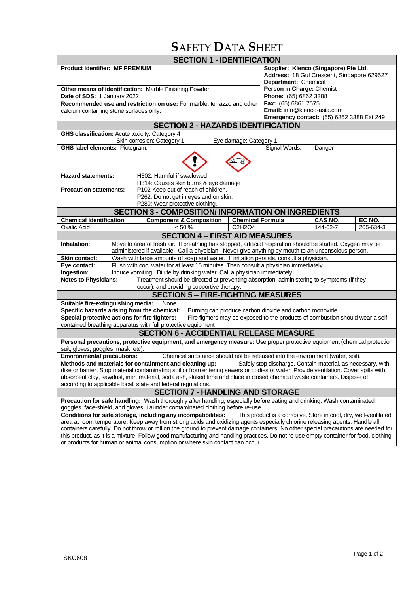# **S**AFETY **D**ATA **S**HEET

| <b>SECTION 1 - IDENTIFICATION</b>                                                                                                                                                                                                         |                                                                                                                                      |                                                                              |                                                  |          |           |  |  |
|-------------------------------------------------------------------------------------------------------------------------------------------------------------------------------------------------------------------------------------------|--------------------------------------------------------------------------------------------------------------------------------------|------------------------------------------------------------------------------|--------------------------------------------------|----------|-----------|--|--|
| <b>Product Identifier: MF PREMIUM</b>                                                                                                                                                                                                     |                                                                                                                                      | Supplier: Klenco (Singapore) Pte Ltd.                                        |                                                  |          |           |  |  |
|                                                                                                                                                                                                                                           |                                                                                                                                      |                                                                              | Address: 18 Gul Crescent, Singapore 629527       |          |           |  |  |
|                                                                                                                                                                                                                                           |                                                                                                                                      |                                                                              | Department: Chemical                             |          |           |  |  |
| Other means of identification: Marble Finishing Powder                                                                                                                                                                                    |                                                                                                                                      |                                                                              | Person in Charge: Chemist                        |          |           |  |  |
| Date of SDS: 1 January 2022                                                                                                                                                                                                               |                                                                                                                                      |                                                                              | Phone: (65) 6862 3388<br>Fax: (65) 6861 7575     |          |           |  |  |
| Recommended use and restriction on use: For marble, terrazzo and other                                                                                                                                                                    |                                                                                                                                      |                                                                              | Email: info@klenco-asia.com                      |          |           |  |  |
| calcium containing stone surfaces only.                                                                                                                                                                                                   |                                                                                                                                      |                                                                              | <b>Emergency contact:</b> (65) 6862 3388 Ext 249 |          |           |  |  |
| <b>SECTION 2 - HAZARDS IDENTIFICATION</b>                                                                                                                                                                                                 |                                                                                                                                      |                                                                              |                                                  |          |           |  |  |
| GHS classification: Acute toxicity: Category 4                                                                                                                                                                                            |                                                                                                                                      |                                                                              |                                                  |          |           |  |  |
| Skin corrosion: Category 1,<br>Eye damage: Category 1                                                                                                                                                                                     |                                                                                                                                      |                                                                              |                                                  |          |           |  |  |
| Signal Words:<br><b>GHS label elements: Pictogram:</b><br>Danger                                                                                                                                                                          |                                                                                                                                      |                                                                              |                                                  |          |           |  |  |
|                                                                                                                                                                                                                                           |                                                                                                                                      |                                                                              |                                                  |          |           |  |  |
|                                                                                                                                                                                                                                           |                                                                                                                                      |                                                                              |                                                  |          |           |  |  |
| <b>Hazard statements:</b>                                                                                                                                                                                                                 | H302: Harmful if swallowed                                                                                                           |                                                                              |                                                  |          |           |  |  |
| H314: Causes skin burns & eye damage                                                                                                                                                                                                      |                                                                                                                                      |                                                                              |                                                  |          |           |  |  |
| <b>Precaution statements:</b>                                                                                                                                                                                                             | P102 Keep out of reach of children.                                                                                                  |                                                                              |                                                  |          |           |  |  |
|                                                                                                                                                                                                                                           | P262: Do not get in eyes and on skin.                                                                                                |                                                                              |                                                  |          |           |  |  |
|                                                                                                                                                                                                                                           | P280: Wear protective clothing.                                                                                                      |                                                                              |                                                  |          |           |  |  |
|                                                                                                                                                                                                                                           | <b>SECTION 3 - COMPOSITION/ INFORMATION ON INGREDIENTS</b>                                                                           |                                                                              |                                                  |          |           |  |  |
| <b>Chemical Identification</b>                                                                                                                                                                                                            | <b>Component &amp; Composition</b>                                                                                                   | <b>Chemical Formula</b>                                                      |                                                  | CAS NO.  | EC NO.    |  |  |
| <b>Oxalic Acid</b>                                                                                                                                                                                                                        | $< 50 \%$                                                                                                                            | C2H2O4                                                                       |                                                  | 144-62-7 | 205-634-3 |  |  |
|                                                                                                                                                                                                                                           | <b>SECTION 4 - FIRST AID MEASURES</b>                                                                                                |                                                                              |                                                  |          |           |  |  |
| Move to area of fresh air. If breathing has stopped, artificial respiration should be started. Oxygen may be<br>Inhalation:                                                                                                               |                                                                                                                                      |                                                                              |                                                  |          |           |  |  |
| administered if available. Call a physician. Never give anything by mouth to an unconscious person.                                                                                                                                       |                                                                                                                                      |                                                                              |                                                  |          |           |  |  |
| Wash with large amounts of soap and water. If irritation persists, consult a physician.<br><b>Skin contact:</b>                                                                                                                           |                                                                                                                                      |                                                                              |                                                  |          |           |  |  |
| Eye contact:<br>Flush with cool water for at least 15 minutes. Then consult a physician immediately.                                                                                                                                      |                                                                                                                                      |                                                                              |                                                  |          |           |  |  |
| Ingestion:<br>Induce vomiting. Dilute by drinking water. Call a physician immediately.                                                                                                                                                    |                                                                                                                                      |                                                                              |                                                  |          |           |  |  |
| Treatment should be directed at preventing absorption, administering to symptoms (if they<br><b>Notes to Physicians:</b>                                                                                                                  |                                                                                                                                      |                                                                              |                                                  |          |           |  |  |
| occur), and providing supportive therapy.                                                                                                                                                                                                 |                                                                                                                                      |                                                                              |                                                  |          |           |  |  |
| <b>SECTION 5 - FIRE-FIGHTING MEASURES</b>                                                                                                                                                                                                 |                                                                                                                                      |                                                                              |                                                  |          |           |  |  |
| Suitable fire-extinguishing media:<br>None                                                                                                                                                                                                |                                                                                                                                      |                                                                              |                                                  |          |           |  |  |
| Specific hazards arising from the chemical:<br>Burning can produce carbon dioxide and carbon monoxide.<br>Special protective actions for fire fighters:<br>Fire fighters may be exposed to the products of combustion should wear a self- |                                                                                                                                      |                                                                              |                                                  |          |           |  |  |
| contained breathing apparatus with full protective equipment                                                                                                                                                                              |                                                                                                                                      |                                                                              |                                                  |          |           |  |  |
| <b>SECTION 6 - ACCIDENTIAL RELEASE MEASURE</b>                                                                                                                                                                                            |                                                                                                                                      |                                                                              |                                                  |          |           |  |  |
| Personal precautions, protective equipment, and emergency measure: Use proper protective equipment (chemical protection                                                                                                                   |                                                                                                                                      |                                                                              |                                                  |          |           |  |  |
| suit, gloves, goggles, mask, etc).                                                                                                                                                                                                        |                                                                                                                                      |                                                                              |                                                  |          |           |  |  |
| <b>Environmental precautions:</b><br>Chemical substance should not be released into the environment (water, soil).                                                                                                                        |                                                                                                                                      |                                                                              |                                                  |          |           |  |  |
| Methods and materials for containment and cleaning up:<br>Safely stop discharge. Contain material, as necessary, with                                                                                                                     |                                                                                                                                      |                                                                              |                                                  |          |           |  |  |
| dike or barrier. Stop material contaminating soil or from entering sewers or bodies of water. Provide ventilation. Cover spills with                                                                                                      |                                                                                                                                      |                                                                              |                                                  |          |           |  |  |
| absorbent clay, sawdust, inert material, soda ash, slaked lime and place in closed chemical waste containers. Dispose of                                                                                                                  |                                                                                                                                      |                                                                              |                                                  |          |           |  |  |
| according to applicable local, state and federal regulations.                                                                                                                                                                             |                                                                                                                                      |                                                                              |                                                  |          |           |  |  |
| <b>SECTION 7 - HANDLING AND STORAGE</b>                                                                                                                                                                                                   |                                                                                                                                      |                                                                              |                                                  |          |           |  |  |
| Precaution for safe handling: Wash thoroughly after handling, especially before eating and drinking. Wash contaminated<br>goggles, face-shield, and gloves. Launder contaminated clothing before re-use.                                  |                                                                                                                                      |                                                                              |                                                  |          |           |  |  |
| Conditions for safe storage, including any incompatibilities:<br>This product is a corrosive. Store in cool, dry, well-ventilated                                                                                                         |                                                                                                                                      |                                                                              |                                                  |          |           |  |  |
| area at room temperature. Keep away from strong acids and oxidizing agents especially chlorine releasing agents. Handle all                                                                                                               |                                                                                                                                      |                                                                              |                                                  |          |           |  |  |
| containers carefully. Do not throw or roll on the ground to prevent damage containers. No other special precautions are needed for                                                                                                        |                                                                                                                                      |                                                                              |                                                  |          |           |  |  |
|                                                                                                                                                                                                                                           | this product, as it is a mixture. Follow good manufacturing and handling practices. Do not re-use empty container for food, clothing |                                                                              |                                                  |          |           |  |  |
|                                                                                                                                                                                                                                           |                                                                                                                                      | or products for human or animal consumption or where skin contact can occur. |                                                  |          |           |  |  |